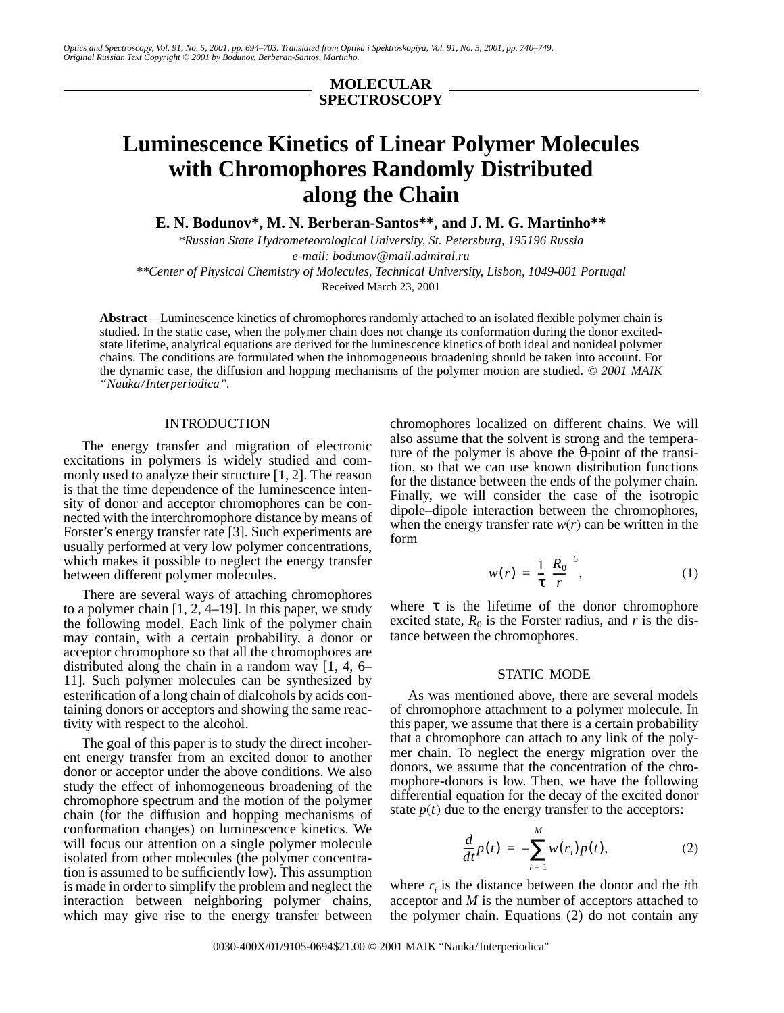Optics and Spectroscopy, Vol. 91, No. 5, 2001, pp. 694–703. Translated from Optika i Spektroskopiya, Vol. 91, No. 5, 2001, pp. 740–749.<br>Original Russian Text Copyright © 2001 by Bodunov, Berberan-Santos, Martinho.

**MOLECULAR SPECTROSCOPY**

# **Luminescence Kinetics of Linear Polymer Molecules with Chromophores Randomly Distributed along the Chain**

**E. N. Bodunov\*, M. N. Berberan-Santos\*\*, and J. M. G. Martinho\*\*** 

*\*Russian State Hydrometeorological University, St. Petersburg, 195196 Russia e-mail: bodunov@mail.admiral.ru \*\*Center of Physical Chemistry of Molecules, Technical University, Lisbon, 1049-001 Portugal*  Received March 23, 2001

**Abstract**—Luminescence kinetics of chromophores randomly attached to an isolated flexible polymer chain is studied. In the static case, when the polymer chain does not change its conformation during the donor excitedstate lifetime, analytical equations are derived for the luminescence kinetics of both ideal and nonideal polymer chains. The conditions are formulated when the inhomogeneous broadening should be taken into account. For the dynamic case, the diffusion and hopping mechanisms of the polymer motion are studied. *© 2001 MAIK "Nauka/Interperiodica".*

## INTRODUCTION

The energy transfer and migration of electronic excitations in polymers is widely studied and commonly used to analyze their structure [1, 2]. The reason is that the time dependence of the luminescence intensity of donor and acceptor chromophores can be connected with the interchromophore distance by means of Forster's energy transfer rate [3]. Such experiments are usually performed at very low polymer concentrations, which makes it possible to neglect the energy transfer between different polymer molecules.

There are several ways of attaching chromophores to a polymer chain  $[1, 2, 4–19]$ . In this paper, we study the following model. Each link of the polymer chain may contain, with a certain probability, a donor or acceptor chromophore so that all the chromophores are distributed along the chain in a random way [1, 4, 6– 11]. Such polymer molecules can be synthesized by esterification of a long chain of dialcohols by acids containing donors or acceptors and showing the same reactivity with respect to the alcohol.

The goal of this paper is to study the direct incoherent energy transfer from an excited donor to another donor or acceptor under the above conditions. We also study the effect of inhomogeneous broadening of the chromophore spectrum and the motion of the polymer chain (for the diffusion and hopping mechanisms of conformation changes) on luminescence kinetics. We will focus our attention on a single polymer molecule isolated from other molecules (the polymer concentration is assumed to be sufficiently low). This assumption is made in order to simplify the problem and neglect the interaction between neighboring polymer chains, which may give rise to the energy transfer between chromophores localized on different chains. We will also assume that the solvent is strong and the temperature of the polymer is above the θ-point of the transition, so that we can use known distribution functions for the distance between the ends of the polymer chain. Finally, we will consider the case of the isotropic dipole–dipole interaction between the chromophores, when the energy transfer rate  $w(r)$  can be written in the form

$$
w(r) = \frac{1}{\tau} \left(\frac{R_0}{r}\right)^6, \tag{1}
$$

where  $\tau$  is the lifetime of the donor chromophore excited state,  $R_0$  is the Forster radius, and  $r$  is the distance between the chromophores.

#### STATIC MODE

As was mentioned above, there are several models of chromophore attachment to a polymer molecule. In this paper, we assume that there is a certain probability that a chromophore can attach to any link of the polymer chain. To neglect the energy migration over the donors, we assume that the concentration of the chromophore-donors is low. Then, we have the following differential equation for the decay of the excited donor state  $p(t)$  due to the energy transfer to the acceptors:

$$
\frac{d}{dt}p(t) = -\sum_{i=1}^{M} w(r_i)p(t),
$$
\n(2)

where  $r_i$  is the distance between the donor and the *i*th acceptor and *M* is the number of acceptors attached to the polymer chain. Equations (2) do not contain any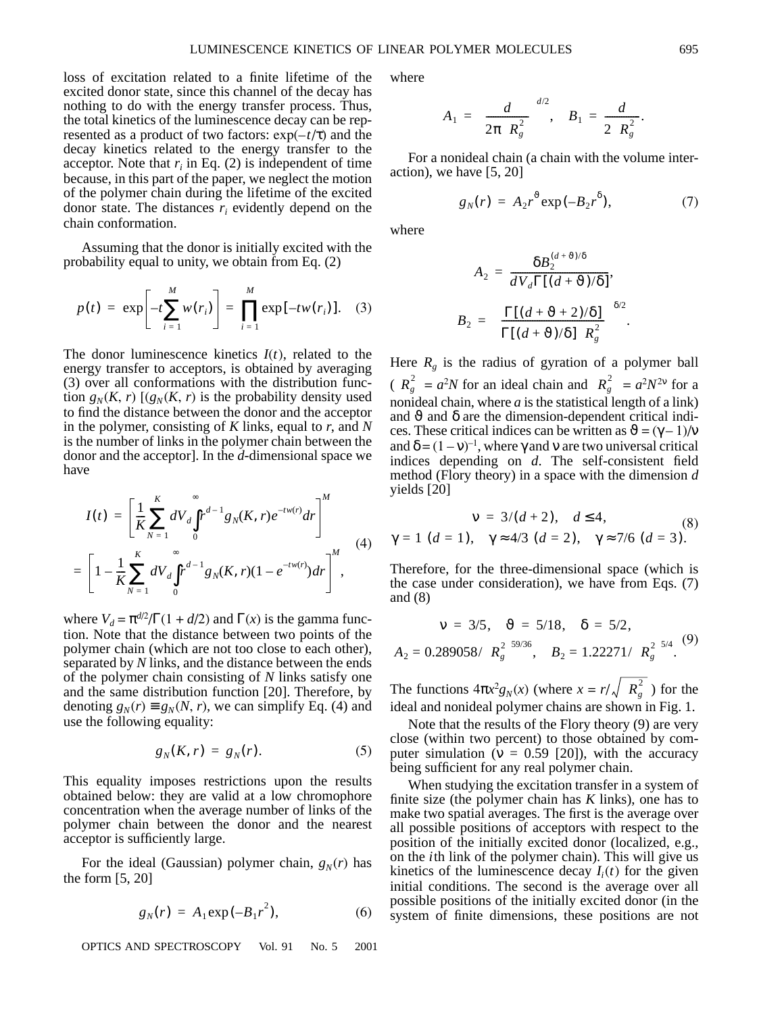loss of excitation related to a finite lifetime of the excited donor state, since this channel of the decay has nothing to do with the energy transfer process. Thus, the total kinetics of the luminescence decay can be represented as a product of two factors: exp(–*t*/τ) and the decay kinetics related to the energy transfer to the acceptor. Note that  $r_i$  in Eq. (2) is independent of time because, in this part of the paper, we neglect the motion of the polymer chain during the lifetime of the excited donor state. The distances  $r_i$  evidently depend on the chain conformation.

Assuming that the donor is initially excited with the probability equal to unity, we obtain from Eq. (2)

$$
p(t) = \exp\left[-t\sum_{i=1}^{M}w(r_i)\right] = \prod_{i=1}^{M}\exp[-tw(r_i)].
$$
 (3)

The donor luminescence kinetics *I*(*t*), related to the energy transfer to acceptors, is obtained by averaging (3) over all conformations with the distribution function  $g_N(K, r)$  [ $(g_N(K, r)$  is the probability density used to find the distance between the donor and the acceptor in the polymer, consisting of *K* links, equal to *r*, and *N* is the number of links in the polymer chain between the donor and the acceptor]. In the *d*-dimensional space we have

$$
I(t) = \left[\frac{1}{K} \sum_{N=1}^{K} dV_d \int_0^{\infty} r^{d-1} g_N(K, r) e^{-t w(r)} dr\right]^M
$$
  
=  $\left[1 - \frac{1}{K} \sum_{N=1}^{K} dV_d \int_0^{\infty} r^{d-1} g_N(K, r) (1 - e^{-t w(r)}) dr\right]^M$ , (4)

where  $V_d = \pi^{d/2}/\Gamma(1 + d/2)$  and  $\Gamma(x)$  is the gamma function. Note that the distance between two points of the polymer chain (which are not too close to each other), separated by *N* links, and the distance between the ends of the polymer chain consisting of *N* links satisfy one and the same distribution function [20]. Therefore, by denoting  $g_N(r) \equiv g_N(N, r)$ , we can simplify Eq. (4) and use the following equality:

$$
g_N(K,r) = g_N(r). \tag{5}
$$

This equality imposes restrictions upon the results obtained below: they are valid at a low chromophore concentration when the average number of links of the polymer chain between the donor and the nearest acceptor is sufficiently large.

For the ideal (Gaussian) polymer chain,  $g_N(r)$  has the form [5, 20]

$$
g_N(r) = A_1 \exp(-B_1 r^2), \tag{6}
$$

OPTICS AND SPECTROSCOPY Vol. 91 No. 5 2001

where

$$
A_1 = \left(\frac{d}{2\pi \langle R_g^2 \rangle}\right)^{d/2}, \quad B_1 = \frac{d}{2 \langle R_g^2 \rangle}.
$$

For a nonideal chain (a chain with the volume interaction), we have [5, 20]

$$
g_N(r) = A_2 r^{\delta} \exp(-B_2 r^{\delta}), \qquad (7)
$$

where

$$
A_2 = \frac{\delta B_2^{(d+\vartheta)/\delta}}{dV_d\Gamma[(d+\vartheta)/\delta]},
$$

$$
B_2 = \left\{ \frac{\Gamma[(d+\vartheta+2)/\delta]}{\Gamma[(d+\vartheta)/\delta]\langle R_g^2 \rangle} \right\}^{\delta/2}.
$$

Here  $R_g$  is the radius of gyration of a polymer ball  $(\langle R_g^2 \rangle = a^2 N$  for an ideal chain and  $\langle R_g^2 \rangle = a^2 N^{2\nu}$  for a nonideal chain, where  $a$  is the statistical length of a link) and  $\vartheta$  and  $\delta$  are the dimension-dependent critical indices. These critical indices can be written as  $\vartheta = (\gamma - 1)/\nu$ and  $\delta = (1 - v)^{-1}$ , where  $\gamma$  and  $v$  are two universal critical indices depending on *d*. The self-consistent field method (Flory theory) in a space with the dimension *d* yields [20]

$$
v = 3/(d+2), d \le 4,
$$
  
\n
$$
\gamma = 1 (d = 1), \quad \gamma \approx 4/3 (d = 2), \quad \gamma \approx 7/6 (d = 3).
$$
 (8)

Therefore, for the three-dimensional space (which is the case under consideration), we have from Eqs. (7) and (8)

$$
v = 3/5, \quad \vartheta = 5/18, \quad \delta = 5/2,
$$
  

$$
A_2 = 0.289058 / \langle R_g^2 \rangle^{59/36}, \quad B_2 = 1.22271 / \langle R_g^2 \rangle^{5/4}.
$$
<sup>(9)</sup>

The functions  $4\pi x^2 g_N(x)$  (where  $x = r/\sqrt{\langle R_g^2 \rangle}$ ) for the ideal and nonideal polymer chains are shown in Fig. 1.

Note that the results of the Flory theory (9) are very close (within two percent) to those obtained by computer simulation ( $v = 0.59$  [20]), with the accuracy being sufficient for any real polymer chain.

When studying the excitation transfer in a system of finite size (the polymer chain has *K* links), one has to make two spatial averages. The first is the average over all possible positions of acceptors with respect to the position of the initially excited donor (localized, e.g., on the *i*th link of the polymer chain). This will give us kinetics of the luminescence decay  $I_i(t)$  for the given initial conditions. The second is the average over all possible positions of the initially excited donor (in the system of finite dimensions, these positions are not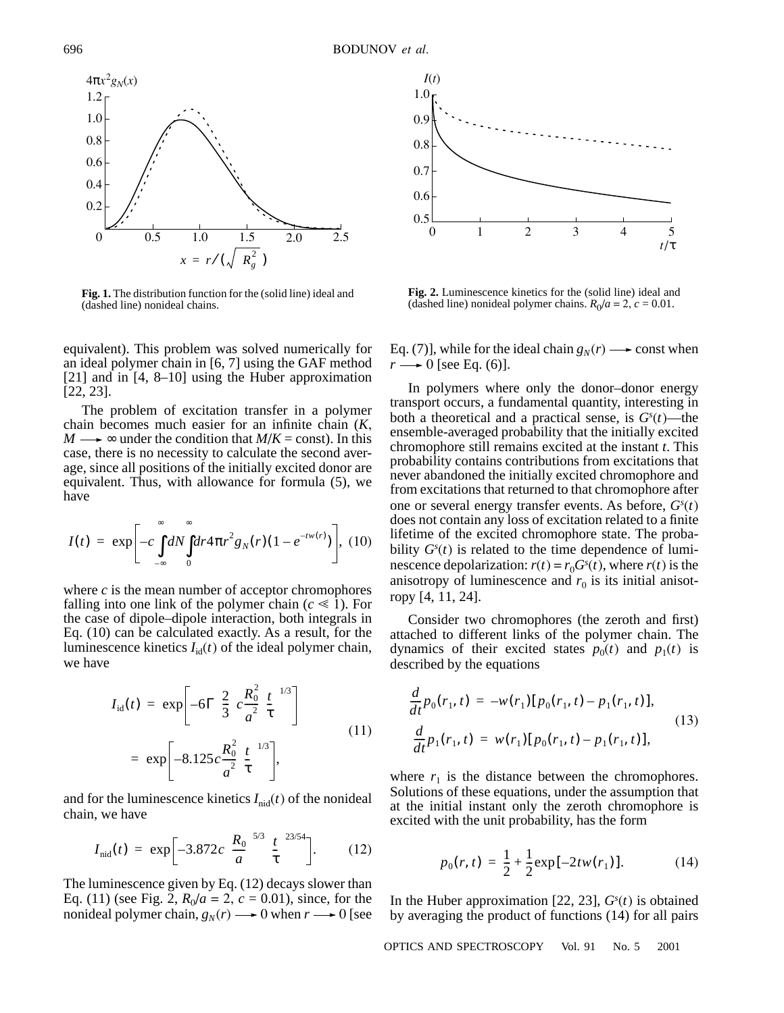

**Fig. 1.** The distribution function for the (solid line) ideal and (dashed line) nonideal chains.

equivalent). This problem was solved numerically for an ideal polymer chain in [6, 7] using the GAF method [21] and in [4, 8–10] using the Huber approximation [22, 23].

The problem of excitation transfer in a polymer chain becomes much easier for an infinite chain (*K*,  $M \longrightarrow \infty$  under the condition that  $M/K = \text{const}$ . In this case, there is no necessity to calculate the second average, since all positions of the initially excited donor are equivalent. Thus, with allowance for formula (5), we have

$$
I(t) = \exp \left[ -c \int_{-\infty}^{\infty} dN \int_{0}^{\infty} dr 4\pi r^{2} g_{N}(r) (1 - e^{-t w(r)}) \right], (10)
$$

where  $c$  is the mean number of acceptor chromophores falling into one link of the polymer chain  $(c \le 1)$ . For the case of dipole–dipole interaction, both integrals in Eq. (10) can be calculated exactly. As a result, for the luminescence kinetics  $I_{\text{id}}(t)$  of the ideal polymer chain, we have

$$
I_{\rm id}(t) = \exp\left[-6\Gamma\left(\frac{2}{3}\right)c\frac{R_0^2}{a^2}\left(\frac{t}{\tau}\right)^{1/3}\right]
$$
  
=  $\exp\left[-8.125c\frac{R_0^2}{a^2}\left(\frac{t}{\tau}\right)^{1/3}\right],$  (11)

and for the luminescence kinetics  $I_{\text{nid}}(t)$  of the nonideal chain, we have

$$
I_{\rm nid}(t) = \exp\left[-3.872c\left(\frac{R_0}{a}\right)^{5/3}\left(\frac{t}{\tau}\right)^{23/54}\right].\tag{12}
$$

The luminescence given by Eq. (12) decays slower than Eq. (11) (see Fig. 2,  $R_0/a = 2$ ,  $c = 0.01$ ), since, for the nonideal polymer chain,  $g_N(r) \rightarrow 0$  when  $r \rightarrow 0$  [see



**Fig. 2.** Luminescence kinetics for the (solid line) ideal and (dashed line) nonideal polymer chains.  $R_0/a = 2$ ,  $c = 0.01$ .

Eq. (7)], while for the ideal chain  $g_N(r) \longrightarrow$  const when  $r \rightarrow 0$  [see Eq. (6)].

In polymers where only the donor–donor energy transport occurs, a fundamental quantity, interesting in both a theoretical and a practical sense, is  $G<sup>s</sup>(t)$ —the ensemble-averaged probability that the initially excited chromophore still remains excited at the instant *t*. This probability contains contributions from excitations that never abandoned the initially excited chromophore and from excitations that returned to that chromophore after one or several energy transfer events. As before,  $G<sup>s</sup>(t)$ does not contain any loss of excitation related to a finite lifetime of the excited chromophore state. The probability  $G<sup>s</sup>(t)$  is related to the time dependence of luminescence depolarization:  $r(t) = r_0 G<sup>s</sup>(t)$ , where  $r(t)$  is the anisotropy of luminescence and  $r_0$  is its initial anisotropy [4, 11, 24].

Consider two chromophores (the zeroth and first) attached to different links of the polymer chain. The dynamics of their excited states  $p_0(t)$  and  $p_1(t)$  is described by the equations

$$
\frac{d}{dt}p_0(r_1, t) = -w(r_1)[p_0(r_1, t) - p_1(r_1, t)],
$$
\n
$$
\frac{d}{dt}p_1(r_1, t) = w(r_1)[p_0(r_1, t) - p_1(r_1, t)],
$$
\n(13)

where  $r_1$  is the distance between the chromophores. Solutions of these equations, under the assumption that at the initial instant only the zeroth chromophore is excited with the unit probability, has the form

$$
p_0(r, t) = \frac{1}{2} + \frac{1}{2} \exp[-2tw(r_1)].
$$
 (14)

In the Huber approximation  $[22, 23]$ ,  $G<sup>s</sup>(t)$  is obtained by averaging the product of functions (14) for all pairs

696

OPTICS AND SPECTROSCOPY Vol. 91 No. 5 2001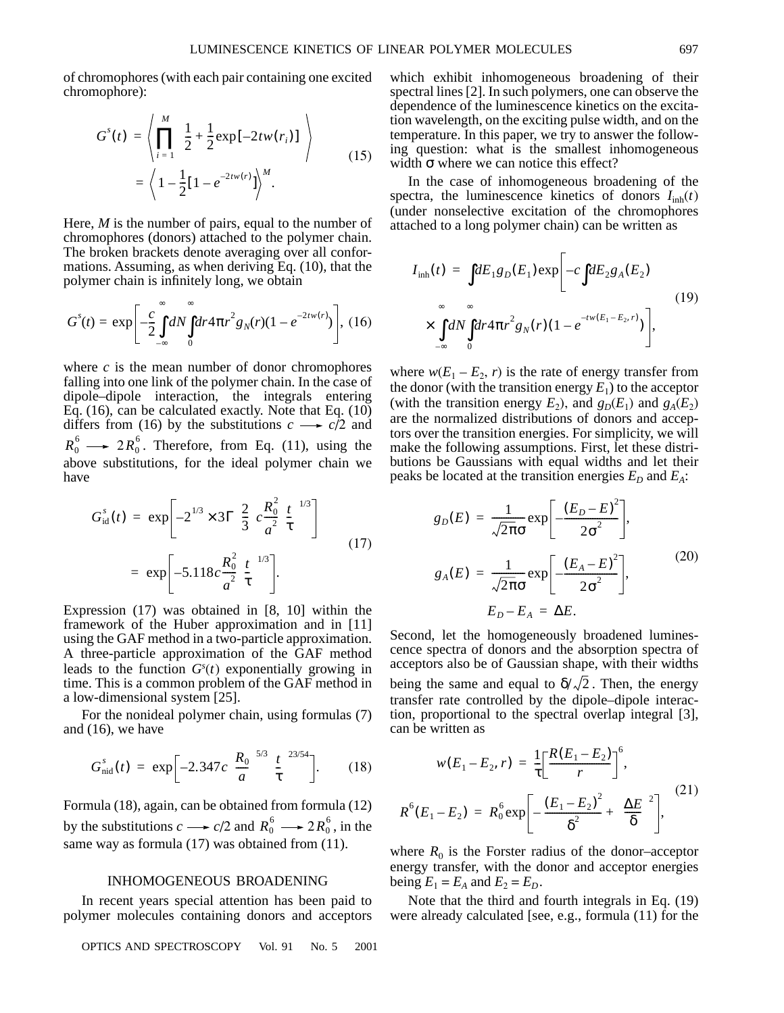of chromophores (with each pair containing one excited chromophore):

$$
G^{s}(t) = \left\langle \prod_{i=1}^{M} \left\{ \frac{1}{2} + \frac{1}{2} \exp[-2tw(r_{i})] \right\} \right\rangle
$$
  
=  $\left\langle 1 - \frac{1}{2} [1 - e^{-2tw(r)}] \right\rangle^{M}$ . (15)

Here, *M* is the number of pairs, equal to the number of chromophores (donors) attached to the polymer chain. The broken brackets denote averaging over all conformations. Assuming, as when deriving Eq. (10), that the polymer chain is infinitely long, we obtain

$$
G^{s}(t) = \exp\left[-\frac{c}{2}\int_{-\infty}^{\infty} dN \int_{0}^{\infty} dr 4\pi r^{2} g_{N}(r)(1 - e^{-2tw(r)})\right],
$$
 (16)

where *c* is the mean number of donor chromophores falling into one link of the polymer chain. In the case of dipole–dipole interaction, the integrals entering Eq. (16), can be calculated exactly. Note that Eq. (10) differs from (16) by the substitutions  $c \rightarrow c/2$  and  $R_0^6 \longrightarrow 2R_0^6$ . Therefore, from Eq. (11), using the above substitutions, for the ideal polymer chain we have

$$
G_{\rm id}^{s}(t) = \exp\left[-2^{1/3} \times 3\Gamma\left(\frac{2}{3}\right) c \frac{R_{0}^{2}}{a^{2}} \left(\frac{t}{\tau}\right)^{1/3}\right]
$$

$$
= \exp\left[-5.118 c \frac{R_{0}^{2}}{a^{2}} \left(\frac{t}{\tau}\right)^{1/3}\right].
$$
(17)

Expression (17) was obtained in [8, 10] within the framework of the Huber approximation and in [11] using the GAF method in a two-particle approximation. A three-particle approximation of the GAF method leads to the function  $G<sup>s</sup>(t)$  exponentially growing in time. This is a common problem of the GAF method in a low-dimensional system [25].

For the nonideal polymer chain, using formulas (7) and (16), we have

$$
G_{\rm nid}^s(t) = \exp\biggl[-2.347c\biggl(\frac{R_0}{a}\biggr)^{5/3}\biggl(\frac{t}{\tau}\biggr)^{23/54}\biggr].\qquad(18)
$$

Formula (18), again, can be obtained from formula (12) by the substitutions  $c \rightarrow c/2$  and  $R_0^6 \rightarrow 2R_0^6$ , in the same way as formula (17) was obtained from (11).

### INHOMOGENEOUS BROADENING

In recent years special attention has been paid to polymer molecules containing donors and acceptors

OPTICS AND SPECTROSCOPY Vol. 91 No. 5 2001

which exhibit inhomogeneous broadening of their spectral lines [2]. In such polymers, one can observe the dependence of the luminescence kinetics on the excitation wavelength, on the exciting pulse width, and on the temperature. In this paper, we try to answer the following question: what is the smallest inhomogeneous width  $\sigma$  where we can notice this effect?

In the case of inhomogeneous broadening of the spectra, the luminescence kinetics of donors  $I_{\text{inh}}(t)$ (under nonselective excitation of the chromophores attached to a long polymer chain) can be written as

$$
I_{\rm inh}(t) = \int dE_1 g_D(E_1) \exp\left[-c \int dE_2 g_A(E_2) \times \int_{-\infty}^{\infty} dN \int_{0}^{\infty} dr 4\pi r^2 g_N(r) (1 - e^{-t w(E_1 - E_2, r)})\right],
$$
\n(19)

where  $w(E_1 - E_2, r)$  is the rate of energy transfer from the donor (with the transition energy  $E_1$ ) to the acceptor (with the transition energy  $E_2$ ), and  $g_D(E_1)$  and  $g_A(E_2)$ are the normalized distributions of donors and acceptors over the transition energies. For simplicity, we will make the following assumptions. First, let these distributions be Gaussians with equal widths and let their peaks be located at the transition energies  $E_D$  and  $E_A$ :

$$
g_D(E) = \frac{1}{\sqrt{2\pi}\sigma} \exp\left[\frac{(E_D - E)^2}{2\sigma^2}\right],
$$
  

$$
g_A(E) = \frac{1}{\sqrt{2\pi}\sigma} \exp\left[\frac{(E_A - E)^2}{2\sigma^2}\right],
$$
  

$$
E_D - E_A = \Delta E.
$$
 (20)

Second, let the homogeneously broadened luminescence spectra of donors and the absorption spectra of acceptors also be of Gaussian shape, with their widths being the same and equal to  $\delta/\sqrt{2}$ . Then, the energy transfer rate controlled by the dipole–dipole interaction, proportional to the spectral overlap integral [3], can be written as

$$
w(E_1 - E_2, r) = \frac{1}{\tau} \left[ \frac{R(E_1 - E_2)}{r} \right]^6,
$$
  

$$
R^6(E_1 - E_2) = R_0^6 \exp \left[ -\frac{(E_1 - E_2)^2}{\delta^2} + \left( \frac{\Delta E}{\delta} \right)^2 \right],
$$
 (21)

where  $R_0$  is the Forster radius of the donor–acceptor energy transfer, with the donor and acceptor energies being  $E_1 = E_A$  and  $E_2 = E_D$ .

Note that the third and fourth integrals in Eq. (19) were already calculated [see, e.g., formula (11) for the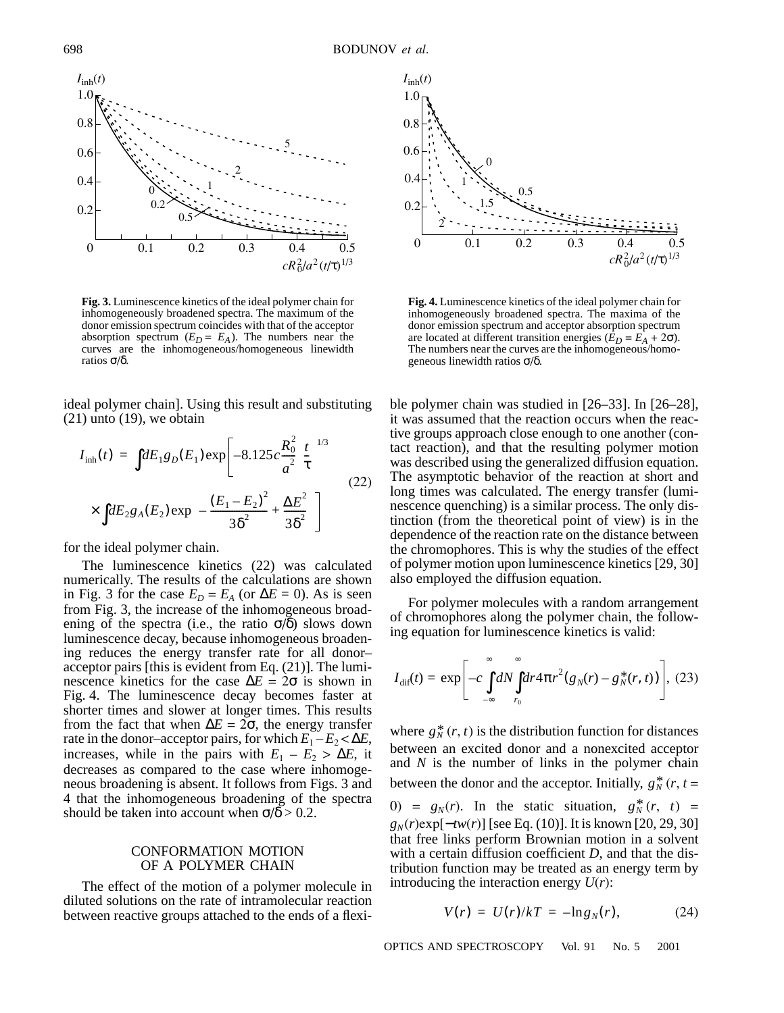

**Fig. 3.** Luminescence kinetics of the ideal polymer chain for inhomogeneously broadened spectra. The maximum of the donor emission spectrum coincides with that of the acceptor absorption spectrum  $(E_D = E_A)$ . The numbers near the curves are the inhomogeneous/homogeneous linewidth ratios σ/δ.

ideal polymer chain]. Using this result and substituting  $(21)$  unto  $(19)$ , we obtain

$$
I_{\rm inh}(t) = \int dE_1 g_D(E_1) \exp\left[-8.125 c \frac{R_0^2}{a^2} \left(\frac{t}{\tau}\right)^{1/3} \times \int dE_2 g_A(E_2) \exp\left(-\frac{\left(E_1 - E_2\right)^2}{3\delta^2} + \frac{\Delta E^2}{3\delta^2}\right)\right]
$$
(22)

for the ideal polymer chain.

The luminescence kinetics (22) was calculated numerically. The results of the calculations are shown in Fig. 3 for the case  $E_D = E_A$  (or  $\Delta E = 0$ ). As is seen from Fig. 3, the increase of the inhomogeneous broadening of the spectra (i.e., the ratio  $\sigma/\delta$ ) slows down luminescence decay, because inhomogeneous broadening reduces the energy transfer rate for all donor– acceptor pairs [this is evident from Eq. (21)]. The luminescence kinetics for the case  $\Delta E = 2\sigma$  is shown in Fig. 4. The luminescence decay becomes faster at shorter times and slower at longer times. This results from the fact that when  $\Delta E = 2\sigma$ , the energy transfer rate in the donor–acceptor pairs, for which  $E_1 - E_2 < \Delta E$ , increases, while in the pairs with  $E_1 - E_2 > \Delta E$ , it decreases as compared to the case where inhomogeneous broadening is absent. It follows from Figs. 3 and 4 that the inhomogeneous broadening of the spectra should be taken into account when  $\sigma/\delta > 0.2$ .

## CONFORMATION MOTION OF A POLYMER CHAIN

The effect of the motion of a polymer molecule in diluted solutions on the rate of intramolecular reaction between reactive groups attached to the ends of a flexi-



**Fig. 4.** Luminescence kinetics of the ideal polymer chain for inhomogeneously broadened spectra. The maxima of the donor emission spectrum and acceptor absorption spectrum are located at different transition energies ( $\bar{E}_D = E_A + 2\sigma$ ). The numbers near the curves are the inhomogeneous/homogeneous linewidth ratios σ/δ.

ble polymer chain was studied in [26–33]. In [26–28], it was assumed that the reaction occurs when the reactive groups approach close enough to one another (contact reaction), and that the resulting polymer motion was described using the generalized diffusion equation. The asymptotic behavior of the reaction at short and long times was calculated. The energy transfer (luminescence quenching) is a similar process. The only distinction (from the theoretical point of view) is in the dependence of the reaction rate on the distance between the chromophores. This is why the studies of the effect of polymer motion upon luminescence kinetics [29, 30] also employed the diffusion equation.

For polymer molecules with a random arrangement of chromophores along the polymer chain, the following equation for luminescence kinetics is valid:

$$
I_{\text{dif}}(t) = \exp \left[ -c \int_{-\infty}^{\infty} dN \int_{r_0}^{\infty} dr 4\pi r^2 (g_N(r) - g_N^*(r, t)) \right], (23)
$$

where  $g_N^*(r, t)$  is the distribution function for distances between an excited donor and a nonexcited acceptor and *N* is the number of links in the polymer chain between the donor and the acceptor. Initially,  $g_N^*(r, t)$ 0) =  $g_N(r)$ . In the static situation,  $g_N^*(r, t)$  =  $g_N(r)$ exp[ $-tw(r)$ ] [see Eq. (10)]. It is known [20, 29, 30] that free links perform Brownian motion in a solvent with a certain diffusion coefficient *D*, and that the distribution function may be treated as an energy term by introducing the interaction energy *U*(*r*):

$$
V(r) = U(r)/kT = -\ln g_N(r), \qquad (24)
$$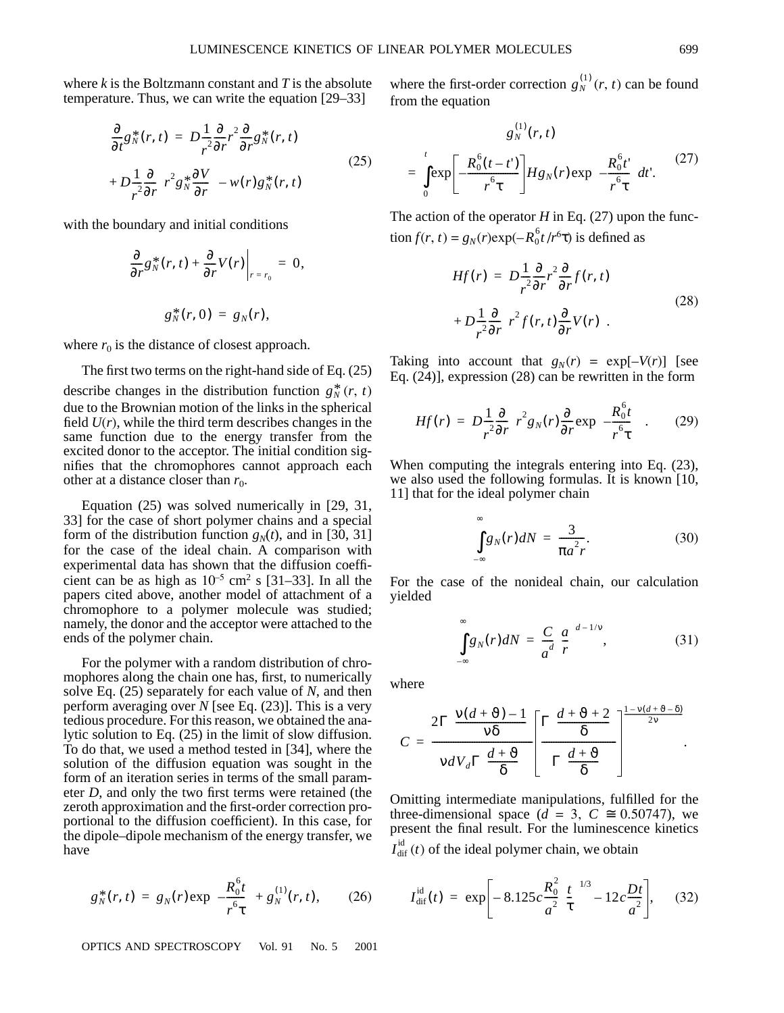where *k* is the Boltzmann constant and *T* is the absolute temperature. Thus, we can write the equation [29–33]

$$
\frac{\partial}{\partial t} g_N^*(r, t) = D \frac{1}{r^2} \frac{\partial}{\partial r} r^2 \frac{\partial}{\partial r} g_N^*(r, t) + D \frac{1}{r^2} \frac{\partial}{\partial r} \left( r^2 g_N^* \frac{\partial V}{\partial r} \right) - w(r) g_N^*(r, t)
$$
\n(25)

with the boundary and initial conditions

$$
\frac{\partial}{\partial r}g_N^*(r,t) + \frac{\partial}{\partial r}V(r)\Big|_{r=r_0} = 0,
$$
  

$$
g_N^*(r,0) = g_N(r),
$$

where  $r_0$  is the distance of closest approach.

The first two terms on the right-hand side of Eq. (25) describe changes in the distribution function  $g_N^*(r, t)$ due to the Brownian motion of the links in the spherical field  $U(r)$ , while the third term describes changes in the same function due to the energy transfer from the excited donor to the acceptor. The initial condition signifies that the chromophores cannot approach each other at a distance closer than  $r_0$ .

Equation (25) was solved numerically in [29, 31, 33] for the case of short polymer chains and a special form of the distribution function  $g_N(t)$ , and in [30, 31] for the case of the ideal chain. A comparison with experimental data has shown that the diffusion coefficient can be as high as  $10^{-5}$  cm<sup>2</sup> s [31–33]. In all the papers cited above, another model of attachment of a chromophore to a polymer molecule was studied; namely, the donor and the acceptor were attached to the ends of the polymer chain.

For the polymer with a random distribution of chromophores along the chain one has, first, to numerically solve Eq. (25) separately for each value of *N*, and then perform averaging over *N* [see Eq. (23)]. This is a very tedious procedure. For this reason, we obtained the analytic solution to Eq. (25) in the limit of slow diffusion. To do that, we used a method tested in [34], where the solution of the diffusion equation was sought in the form of an iteration series in terms of the small parameter *D*, and only the two first terms were retained (the zeroth approximation and the first-order correction proportional to the diffusion coefficient). In this case, for the dipole–dipole mechanism of the energy transfer, we have

$$
g_N^*(r,t) = g_N(r) \exp\left(-\frac{R_0^6 t}{r^6 \tau}\right) + g_N^{(1)}(r,t), \qquad (26)
$$

OPTICS AND SPECTROSCOPY Vol. 91 No. 5 2001

where the first-order correction  $g_N^{(1)}(r, t)$  can be found from the equation

$$
g_N^{(1)}(r,t)
$$
  
= 
$$
\int_0^t \exp\left[\frac{R_0^6(t-t')}{r^6 \tau}\right] Hg_N(r) \exp\left(\frac{R_0^6 t'}{r^6 \tau}\right) dt'.
$$
 (27)

The action of the operator  $H$  in Eq. (27) upon the func- $\text{tion } f(r, t) = g_N(r) \exp(-R_0^6 t / r^6 \tau)$  is defined as

$$
Hf(r) = D\frac{1}{r^2}\frac{\partial}{\partial r}r^2\frac{\partial}{\partial r}f(r,t) + D\frac{1}{r^2}\frac{\partial}{\partial r}\left(r^2f(r,t)\frac{\partial}{\partial r}V(r)\right).
$$
 (28)

Taking into account that  $g_N(r) = \exp[-V(r)]$  [see Eq. (24)], expression (28) can be rewritten in the form

$$
Hf(r) = D\frac{1}{r^2}\frac{\partial}{\partial r}\left(r^2g_N(r)\frac{\partial}{\partial r}\exp\left(-\frac{R_0^6t}{r^6\tau}\right)\right).
$$
 (29)

When computing the integrals entering into Eq. (23), we also used the following formulas. It is known [10, 11] that for the ideal polymer chain

$$
\int_{-\infty}^{\infty} g_N(r) dN = \frac{3}{\pi a^2 r}.
$$
 (30)

For the case of the nonideal chain, our calculation yielded

$$
\int_{-\infty}^{\infty} g_N(r) dN = \frac{C}{a^d} \left(\frac{a}{r}\right)^{d-1/\nu},\tag{31}
$$

where

$$
C = \frac{2\Gamma\left(\frac{v(d+\vartheta)-1}{v\delta}\right)}{v dV_d \Gamma\left(\frac{d+\vartheta}{\delta}\right)} \left[\frac{\Gamma\left(\frac{d+\vartheta+2}{\delta}\right)}{\Gamma\left(\frac{d+\vartheta}{\delta}\right)}\right]^{\frac{1-v(d+\vartheta-\delta)}{2v}}.
$$

Omitting intermediate manipulations, fulfilled for the three-dimensional space ( $d = 3$ ,  $C \approx 0.50747$ ), we present the final result. For the luminescence kinetics

 $I_{\text{dif}}^{\text{id}}(t)$  of the ideal polymer chain, we obtain

$$
I_{\text{dif}}^{\text{id}}(t) = \exp\bigg[-8.125c\frac{R_0^2}{a^2}\bigg(\frac{t}{\tau}\bigg)^{1/3} - 12c\frac{Dt}{a^2}\bigg],\qquad(32)
$$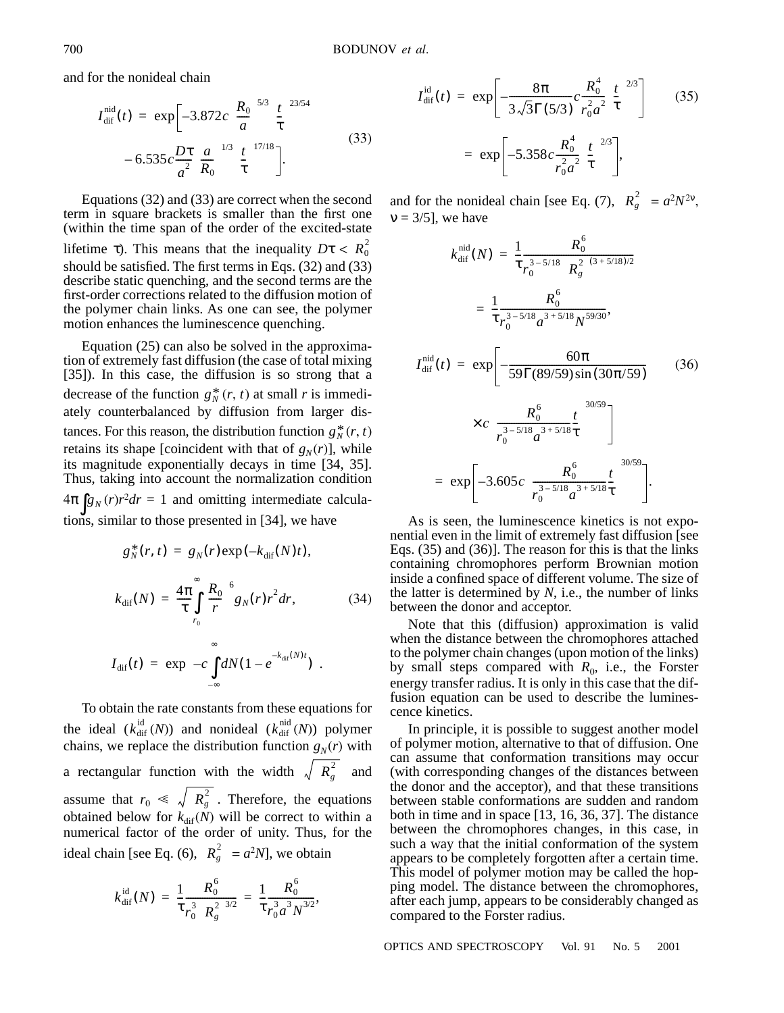and for the nonideal chain

$$
I_{\text{dif}}^{\text{nid}}(t) = \exp\left[-3.872c\left(\frac{R_0}{a}\right)^{5/3}\left(\frac{t}{\tau}\right)^{23/54}\right] - 6.535c\frac{D\tau}{a^2}\left(\frac{a}{R_0}\right)^{1/3}\left(\frac{t}{\tau}\right)^{17/18}\right].
$$
\n(33)

Equations (32) and (33) are correct when the second term in square brackets is smaller than the first one (within the time span of the order of the excited-state lifetime  $\tau$ ). This means that the inequality  $D\tau < R_0^2$ should be satisfied. The first terms in Eqs. (32) and (33) describe static quenching, and the second terms are the first-order corrections related to the diffusion motion of the polymer chain links. As one can see, the polymer motion enhances the luminescence quenching.

Equation (25) can also be solved in the approximation of extremely fast diffusion (the case of total mixing [35]). In this case, the diffusion is so strong that a decrease of the function  $g_N^*(r, t)$  at small *r* is immediately counterbalanced by diffusion from larger distances. For this reason, the distribution function  $g_N^*(r, t)$ retains its shape [coincident with that of  $g_N(r)$ ], while its magnitude exponentially decays in time [34, 35]. Thus, taking into account the normalization condition  $4\pi \int g_N(r) r^2 dr = 1$  and omitting intermediate calculations, similar to those presented in [34], we have

$$
g_N^*(r, t) = g_N(r) \exp(-k_{\text{dif}}(N)t),
$$
  

$$
k_{\text{dif}}(N) = \frac{4\pi}{\tau} \int_{r_0}^{\infty} \left(\frac{R_0}{r}\right)^6 g_N(r) r^2 dr,
$$
 (34)

$$
I_{\text{dif}}(t) = \exp\left(-c\int\limits_{-\infty}^{\infty} dN(1-e^{-k_{\text{dif}}(N)t})\right).
$$

To obtain the rate constants from these equations for the ideal  $(k_{\text{dif}}^{\text{m}}(N))$  and nonideal  $(k_{\text{dif}}^{\text{m}}(N))$  polymer chains, we replace the distribution function  $g_N(r)$  with a rectangular function with the width  $\sqrt{\langle R_g^2 \rangle}$  and assume that  $r_0 \ll \sqrt{\langle R_g^2 \rangle}$ . Therefore, the equations obtained below for  $k_{\text{dif}}(N)$  will be correct to within a numerical factor of the order of unity. Thus, for the ideal chain [see Eq. (6),  $\langle R_g^2 \rangle = a^2 N$ ], we obtain  $k_{\text{dif}}^{id}(N)$  and nonideal  $(k_{\text{dif}}^{\text{nid}})$ 

$$
k_{\text{dif}}^{\text{id}}(N) = \frac{1}{\tau} \frac{R_0^6}{r_0^3 \langle R_g^2 \rangle^{3/2}} = \frac{1}{\tau} \frac{R_0^6}{r_0^3 a^3 N^{3/2}},
$$

$$
I_{\text{dif}}^{\text{id}}(t) = \exp\left[-\frac{8\pi}{3\sqrt{3}\Gamma(5/3)}c\frac{R_0^4}{r_0^2a^2}\left(\frac{t}{\tau}\right)^{2/3}\right] \qquad (35)
$$

$$
= \exp\left[-5.358c\frac{R_0^4}{r_0^2a^2}\left(\frac{t}{\tau}\right)^{2/3}\right],
$$

and for the nonideal chain [see Eq. (7),  $\langle R_g^2 \rangle = a^2 N^{2v}$ ,  $v = 3/5$ ], we have

$$
k_{\text{dif}}^{\text{nid}}(N) = \frac{1}{\tau} \frac{R_0^6}{r_0^{3-5/18} \langle R_g^2 \rangle^{(3+5/18)/2}}
$$
  
\n
$$
= \frac{1}{\tau} \frac{R_0^6}{r_0^{3-5/18} a^{3+5/18} N^{59/30}},
$$
  
\n
$$
I_{\text{dif}}^{\text{nid}}(t) = \exp \left[ -\frac{60\pi}{59\Gamma(89/59)\sin(30\pi/59)} \right] \times c \left( \frac{R_0^6}{r_0^{3-5/18} a^{3+5/18} \tau} \right)^{30/59} \right]
$$
  
\n
$$
= \exp \left[ -3.605c \left( \frac{R_0^6}{r_0^{3-5/18} a^{3+5/18} \tau} \right)^{30/59} \right].
$$
 (36)

As is seen, the luminescence kinetics is not exponential even in the limit of extremely fast diffusion [see Eqs. (35) and (36)]. The reason for this is that the links containing chromophores perform Brownian motion inside a confined space of different volume. The size of the latter is determined by *N*, i.e., the number of links between the donor and acceptor.

Note that this (diffusion) approximation is valid when the distance between the chromophores attached to the polymer chain changes (upon motion of the links) by small steps compared with  $R_0$ , i.e., the Forster energy transfer radius. It is only in this case that the diffusion equation can be used to describe the luminescence kinetics.

In principle, it is possible to suggest another model of polymer motion, alternative to that of diffusion. One can assume that conformation transitions may occur (with corresponding changes of the distances between the donor and the acceptor), and that these transitions between stable conformations are sudden and random both in time and in space [13, 16, 36, 37]. The distance between the chromophores changes, in this case, in such a way that the initial conformation of the system appears to be completely forgotten after a certain time. This model of polymer motion may be called the hopping model. The distance between the chromophores, after each jump, appears to be considerably changed as compared to the Forster radius.

OPTICS AND SPECTROSCOPY Vol. 91 No. 5 2001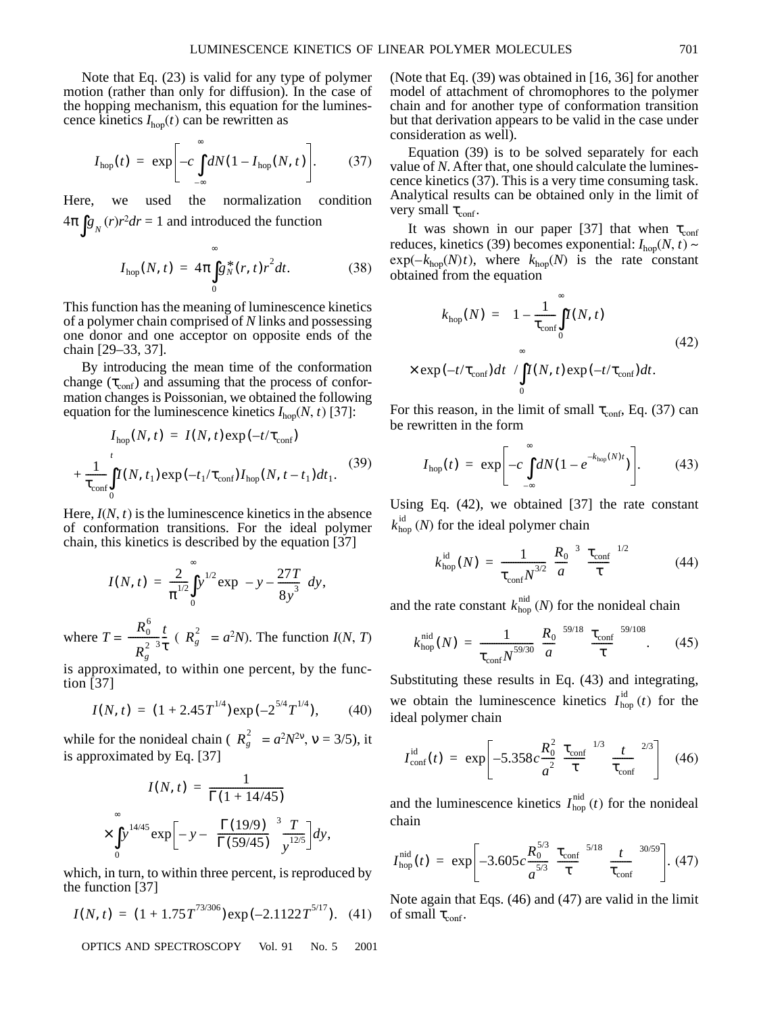Note that Eq. (23) is valid for any type of polymer motion (rather than only for diffusion). In the case of the hopping mechanism, this equation for the luminescence kinetics  $I_{\text{hop}}(t)$  can be rewritten as

$$
I_{\rm hop}(t) = \exp\bigg[-c\int_{-\infty}^{\infty} dN(1 - I_{\rm hop}(N, t))\bigg].
$$
 (37)

Here, we used the normalization condition  $4\pi \int g_N(r)r^2 dr = 1$  and introduced the function

$$
I_{\rm hop}(N,t) = 4\pi \int_0^{\infty} g_N^*(r,t) r^2 dt.
$$
 (38)

This function has the meaning of luminescence kinetics of a polymer chain comprised of *N* links and possessing one donor and one acceptor on opposite ends of the chain [29–33, 37].

By introducing the mean time of the conformation change ( $\tau_{conf}$ ) and assuming that the process of conformation changes is Poissonian, we obtained the following equation for the luminescence kinetics  $I_{\text{hop}}(N, t)$  [37]:

$$
I_{\text{hop}}(N, t) = I(N, t) \exp(-t/\tau_{\text{conf}})
$$
  
+ 
$$
\frac{1}{\tau_{\text{conf}}} \int_{0}^{t} I(N, t_1) \exp(-t_1/\tau_{\text{conf}}) I_{\text{hop}}(N, t - t_1) dt_1.
$$
 (39)

Here,  $I(N, t)$  is the luminescence kinetics in the absence of conformation transitions. For the ideal polymer chain, this kinetics is described by the equation [37]

$$
I(N, t) = \frac{2}{\pi^{1/2}} \int_{0}^{\infty} y^{1/2} \exp\left(-y - \frac{27T}{8y^{3}}\right) dy,
$$

where  $T = \frac{R_0^6}{r^2} \frac{t}{r^2}$  ( $\langle R_g^2 \rangle = a^2 N$ ). The function *I*(*N*, *T*)  $\frac{R_0^{\circ}}{\langle R_g^2 \rangle^3} \frac{t}{\tau}$  ( $\langle R_g^2 \rangle$ 

is approximated, to within one percent, by the function [37]

$$
I(N, t) = (1 + 2.45T^{1/4}) \exp(-2^{5/4}T^{1/4}), \qquad (40)
$$

while for the nonideal chain  $\langle R_g^2 \rangle = a^2 N^{2v}$ ,  $v = 3/5$ ), it is approximated by Eq. [37]

$$
I(N, t) = \frac{1}{\Gamma(1 + 14/45)}
$$

$$
\times \int_{0}^{\infty} y^{14/45} \exp\left[-y - \left(\frac{\Gamma(19/9)}{\Gamma(59/45)}\right)^{3} \frac{T}{y^{12/5}}\right] dy,
$$

which, in turn, to within three percent, is reproduced by the function [37]

$$
I(N, t) = (1 + 1.75T^{73/306}) \exp(-2.1122T^{5/17}).
$$
 (41)

OPTICS AND SPECTROSCOPY Vol. 91 No. 5 2001

(Note that Eq. (39) was obtained in [16, 36] for another model of attachment of chromophores to the polymer chain and for another type of conformation transition but that derivation appears to be valid in the case under consideration as well).

Equation (39) is to be solved separately for each value of *N*. After that, one should calculate the luminescence kinetics (37). This is a very time consuming task. Analytical results can be obtained only in the limit of very small  $\tau_{conf}$ .

It was shown in our paper [37] that when  $\tau_{conf}$ reduces, kinetics (39) becomes exponential:  $I_{\text{hop}}(N, t) \sim$  $\exp(-k_{\text{hop}}(N)t)$ , where  $k_{\text{hop}}(N)$  is the rate constant obtained from the equation

$$
k_{\text{hop}}(N) = \left(1 - \frac{1}{\tau_{\text{conf}}}\int_{0}^{\infty} I(N, t) \right)
$$
  
 
$$
\times \exp(-t/\tau_{\text{conf}})dt \bigg) \int_{0}^{\infty} I(N, t) \exp(-t/\tau_{\text{conf}})dt.
$$
 (42)

For this reason, in the limit of small  $\tau_{conf}$ , Eq. (37) can be rewritten in the form

$$
I_{\text{hop}}(t) = \exp\bigg[-c\int_{-\infty}^{\infty} dN(1-e^{-k_{\text{hop}}(N)t})\bigg]. \qquad (43)
$$

Using Eq. (42), we obtained [37] the rate constant  $k_{\text{hop}}^{\text{id}}$  (*N*) for the ideal polymer chain

$$
k_{\rm hop}^{\rm id}(N) = \frac{1}{\tau_{\rm conf} N^{3/2}} \left(\frac{R_0}{a}\right)^3 \left(\frac{\tau_{\rm conf}}{\tau}\right)^{1/2} \tag{44}
$$

and the rate constant  $k_{\text{hop}}^{\text{nid}}$  (*N*) for the nonideal chain

$$
k_{\rm hop}^{\rm nid}(N) = \frac{1}{\tau_{\rm conf} N^{59/30}} \left(\frac{R_0}{a}\right)^{59/18} \left(\frac{\tau_{\rm conf}}{\tau}\right)^{59/108}.\tag{45}
$$

Substituting these results in Eq. (43) and integrating, we obtain the luminescence kinetics  $I_{\text{hop}}^{\text{id}}(t)$  for the ideal polymer chain

$$
I_{\rm conf}^{\rm id}(t) = \exp \left[ -5.358 c \frac{R_0^2}{a^2} \left( \frac{\tau_{\rm conf}}{\tau} \right)^{1/3} \left( \frac{t}{\tau_{\rm conf}} \right)^{2/3} \right] \quad (46)
$$

and the luminescence kinetics  $I_{\text{hop}}^{\text{nid}}(t)$  for the nonideal chain

$$
I_{\rm hop}^{\rm nid}(t) = \exp \left[ -3.605 c \frac{R_0^{5/3}}{a^{5/3}} \left( \frac{\tau_{\rm conf}}{\tau} \right)^{5/18} \left( \frac{t}{\tau_{\rm conf}} \right)^{30/59} \right]. \tag{47}
$$

Note again that Eqs. (46) and (47) are valid in the limit of small  $\tau_{conf}$ .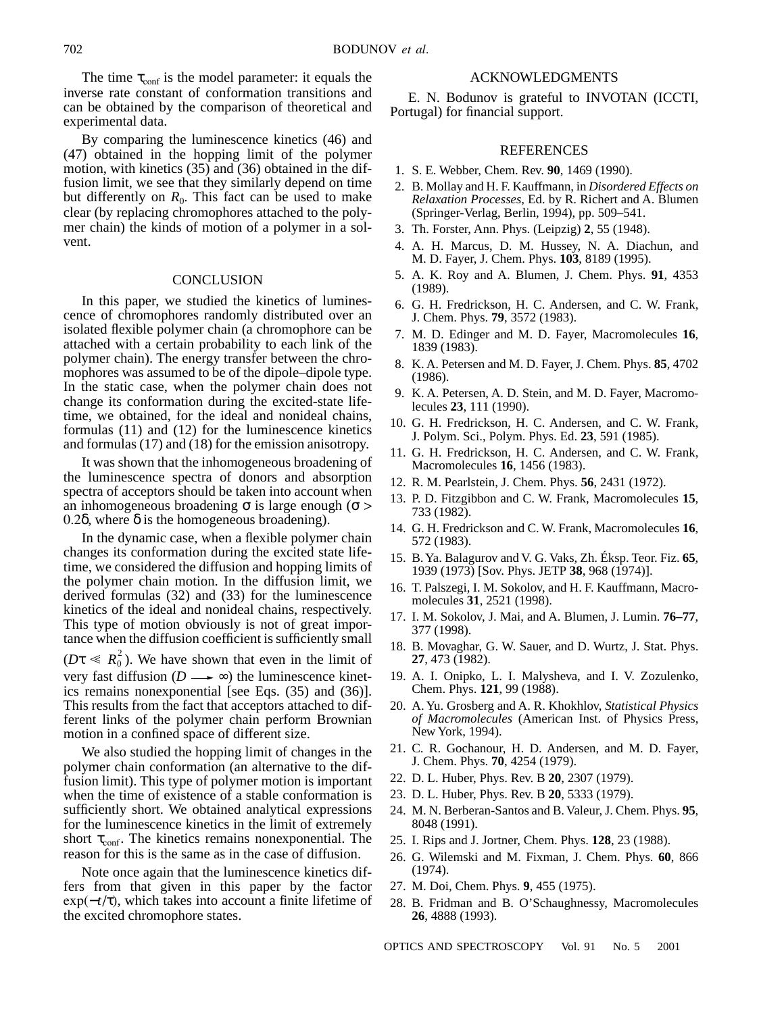The time  $\tau_{conf}$  is the model parameter: it equals the inverse rate constant of conformation transitions and can be obtained by the comparison of theoretical and experimental data.

By comparing the luminescence kinetics (46) and (47) obtained in the hopping limit of the polymer motion, with kinetics (35) and (36) obtained in the diffusion limit, we see that they similarly depend on time but differently on  $R_0$ . This fact can be used to make clear (by replacing chromophores attached to the polymer chain) the kinds of motion of a polymer in a solvent.

### **CONCLUSION**

In this paper, we studied the kinetics of luminescence of chromophores randomly distributed over an isolated flexible polymer chain (a chromophore can be attached with a certain probability to each link of the polymer chain). The energy transfer between the chromophores was assumed to be of the dipole–dipole type. In the static case, when the polymer chain does not change its conformation during the excited-state lifetime, we obtained, for the ideal and nonideal chains, formulas (11) and (12) for the luminescence kinetics and formulas (17) and (18) for the emission anisotropy.

It was shown that the inhomogeneous broadening of the luminescence spectra of donors and absorption spectra of acceptors should be taken into account when an inhomogeneous broadening σ is large enough (σ  $>$ 0.2δ, where δ is the homogeneous broadening).

In the dynamic case, when a flexible polymer chain changes its conformation during the excited state lifetime, we considered the diffusion and hopping limits of the polymer chain motion. In the diffusion limit, we derived formulas (32) and (33) for the luminescence kinetics of the ideal and nonideal chains, respectively. This type of motion obviously is not of great importance when the diffusion coefficient is sufficiently small

( $D\tau \ll R_0^2$ ). We have shown that even in the limit of very fast diffusion ( $D \longrightarrow \infty$ ) the luminescence kinetics remains nonexponential [see Eqs. (35) and (36)]. This results from the fact that acceptors attached to different links of the polymer chain perform Brownian motion in a confined space of different size.

We also studied the hopping limit of changes in the polymer chain conformation (an alternative to the diffusion limit). This type of polymer motion is important when the time of existence of a stable conformation is sufficiently short. We obtained analytical expressions for the luminescence kinetics in the limit of extremely short  $\tau_{\text{conf}}$ . The kinetics remains nonexponential. The reason for this is the same as in the case of diffusion.

Note once again that the luminescence kinetics differs from that given in this paper by the factor exp(−*t*/τ), which takes into account a finite lifetime of the excited chromophore states.

## ACKNOWLEDGMENTS

E. N. Bodunov is grateful to INVOTAN (ICCTI, Portugal) for financial support.

# **REFERENCES**

- 1. S. E. Webber, Chem. Rev. **90**, 1469 (1990).
- 2. B. Mollay and H. F. Kauffmann, in *Disordered Effects on Relaxation Processes*, Ed. by R. Richert and A. Blumen (Springer-Verlag, Berlin, 1994), pp. 509–541.
- 3. Th. Forster, Ann. Phys. (Leipzig) **2**, 55 (1948).
- 4. A. H. Marcus, D. M. Hussey, N. A. Diachun, and M. D. Fayer, J. Chem. Phys. **103**, 8189 (1995).
- 5. A. K. Roy and A. Blumen, J. Chem. Phys. **91**, 4353 (1989).
- 6. G. H. Fredrickson, H. C. Andersen, and C. W. Frank, J. Chem. Phys. **79**, 3572 (1983).
- 7. M. D. Edinger and M. D. Fayer, Macromolecules **16**, 1839 (1983).
- 8. K. A. Petersen and M. D. Fayer, J. Chem. Phys. **85**, 4702 (1986).
- 9. K. A. Petersen, A. D. Stein, and M. D. Fayer, Macromolecules **23**, 111 (1990).
- 10. G. H. Fredrickson, H. C. Andersen, and C. W. Frank, J. Polym. Sci., Polym. Phys. Ed. **23**, 591 (1985).
- 11. G. H. Fredrickson, H. C. Andersen, and C. W. Frank, Macromolecules **16**, 1456 (1983).
- 12. R. M. Pearlstein, J. Chem. Phys. **56**, 2431 (1972).
- 13. P. D. Fitzgibbon and C. W. Frank, Macromolecules **15**, 733 (1982).
- 14. G. H. Fredrickson and C. W. Frank, Macromolecules **16**, 572 (1983).
- 15. B. Ya. Balagurov and V. G. Vaks, Zh. Éksp. Teor. Fiz. **65**, 1939 (1973) [Sov. Phys. JETP **38**, 968 (1974)].
- 16. T. Palszegi, I. M. Sokolov, and H. F. Kauffmann, Macromolecules **31**, 2521 (1998).
- 17. I. M. Sokolov, J. Mai, and A. Blumen, J. Lumin. **76–77**, 377 (1998).
- 18. B. Movaghar, G. W. Sauer, and D. Wurtz, J. Stat. Phys. **27**, 473 (1982).
- 19. A. I. Onipko, L. I. Malysheva, and I. V. Zozulenko, Chem. Phys. **121**, 99 (1988).
- 20. A. Yu. Grosberg and A. R. Khokhlov, *Statistical Physics of Macromolecules* (American Inst. of Physics Press, New York, 1994).
- 21. C. R. Gochanour, H. D. Andersen, and M. D. Fayer, J. Chem. Phys. **70**, 4254 (1979).
- 22. D. L. Huber, Phys. Rev. B **20**, 2307 (1979).
- 23. D. L. Huber, Phys. Rev. B **20**, 5333 (1979).
- 24. M. N. Berberan-Santos and B. Valeur, J. Chem. Phys. **95**, 8048 (1991).
- 25. I. Rips and J. Jortner, Chem. Phys. **128**, 23 (1988).
- 26. G. Wilemski and M. Fixman, J. Chem. Phys. **60**, 866 (1974).
- 27. M. Doi, Chem. Phys. **9**, 455 (1975).
- 28. B. Fridman and B. O'Schaughnessy, Macromolecules **26**, 4888 (1993).